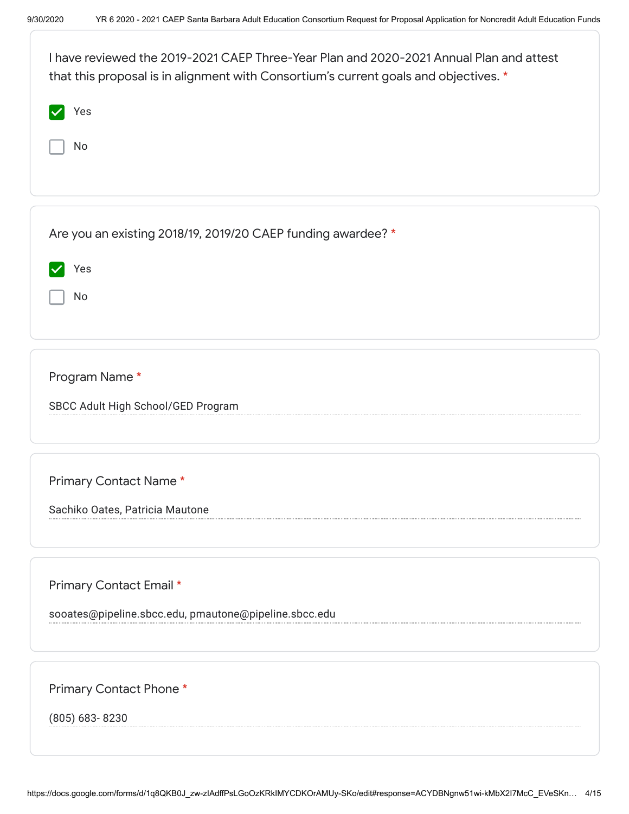| I have reviewed the 2019-2021 CAEP Three-Year Plan and 2020-2021 Annual Plan and attest<br>that this proposal is in alignment with Consortium's current goals and objectives. * |
|---------------------------------------------------------------------------------------------------------------------------------------------------------------------------------|
| Yes                                                                                                                                                                             |
| No                                                                                                                                                                              |
|                                                                                                                                                                                 |
| Are you an existing 2018/19, 2019/20 CAEP funding awardee? *                                                                                                                    |
| Yes                                                                                                                                                                             |
| No                                                                                                                                                                              |
|                                                                                                                                                                                 |
| Program Name*                                                                                                                                                                   |
| SBCC Adult High School/GED Program                                                                                                                                              |
|                                                                                                                                                                                 |
| Primary Contact Name*                                                                                                                                                           |
| Sachiko Oates, Patricia Mautone                                                                                                                                                 |
|                                                                                                                                                                                 |
| Primary Contact Email *                                                                                                                                                         |
| sooates@pipeline.sbcc.edu, pmautone@pipeline.sbcc.edu                                                                                                                           |
|                                                                                                                                                                                 |
| Primary Contact Phone*                                                                                                                                                          |

(805) 683- 8230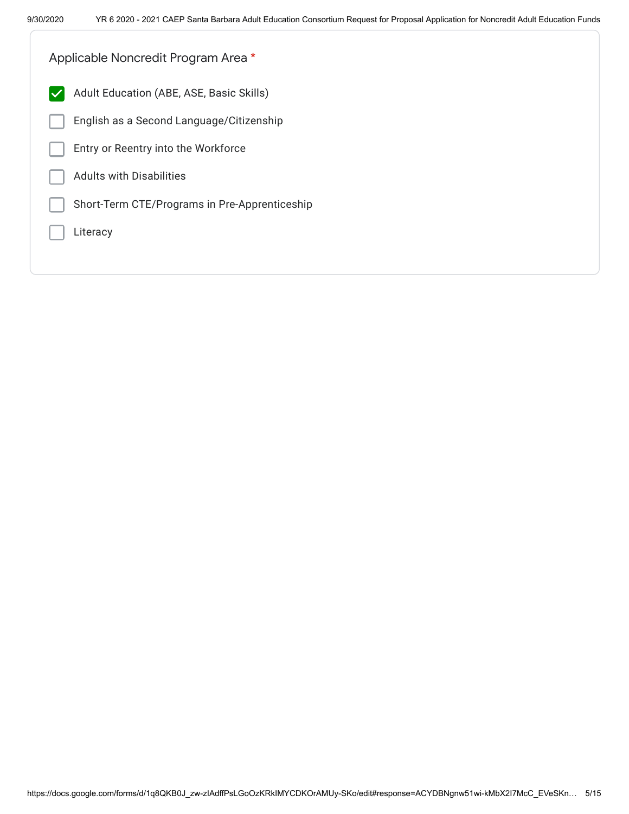| Applicable Noncredit Program Area *                      |  |
|----------------------------------------------------------|--|
| Adult Education (ABE, ASE, Basic Skills)<br>$\checkmark$ |  |
| English as a Second Language/Citizenship                 |  |
| Entry or Reentry into the Workforce                      |  |
| <b>Adults with Disabilities</b>                          |  |
| Short-Term CTE/Programs in Pre-Apprenticeship            |  |
| Literacy                                                 |  |
|                                                          |  |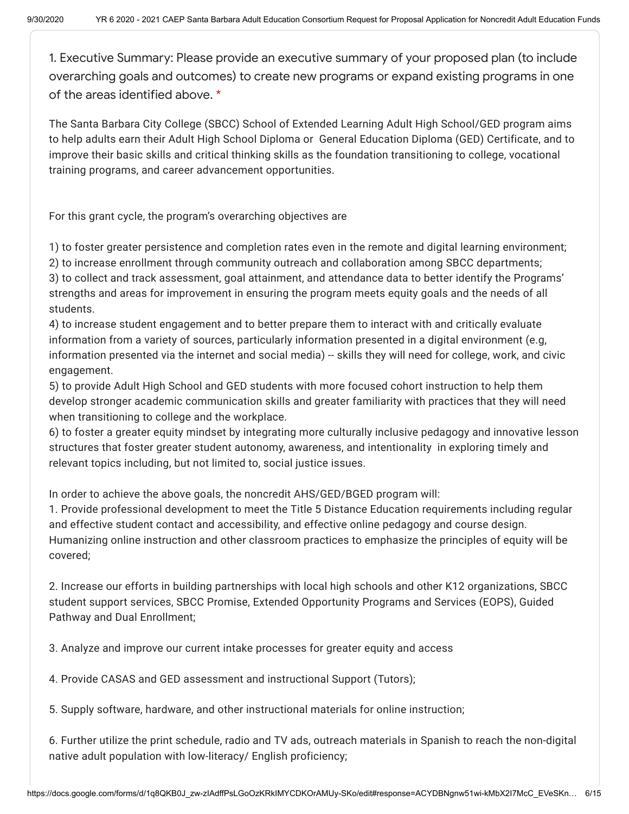1. Executive Summary: Please provide an executive summary of your proposed plan (to include overarching goals and outcomes) to create new programs or expand existing programs in one of the areas identified above. \*

The Santa Barbara City College (SBCC) School of Extended Learning Adult High School/GED program aims to help adults earn their Adult High School Diploma or General Education Diploma (GED) Certificate, and to improve their basic skills and critical thinking skills as the foundation transitioning to college, vocational training programs, and career advancement opportunities.

For this grant cycle, the program's overarching objectives are

1) to foster greater persistence and completion rates even in the remote and digital learning environment; 2) to increase enrollment through community outreach and collaboration among SBCC departments; 3) to collect and track assessment, goal attainment, and attendance data to better identify the Programs' strengths and areas for improvement in ensuring the program meets equity goals and the needs of all students.

4) to increase student engagement and to better prepare them to interact with and critically evaluate information from a variety of sources, particularly information presented in a digital environment (e.g, information presented via the internet and social media) -- skills they will need for college, work, and civic engagement.

5) to provide Adult High School and GED students with more focused cohort instruction to help them develop stronger academic communication skills and greater familiarity with practices that they will need when transitioning to college and the workplace.

6) to foster a greater equity mindset by integrating more culturally inclusive pedagogy and innovative lesson structures that foster greater student autonomy, awareness, and intentionality in exploring timely and relevant topics including, but not limited to, social justice issues.

In order to achieve the above goals, the noncredit AHS/GED/BGED program will:

1. Provide professional development to meet the Title 5 Distance Education requirements including regular and effective student contact and accessibility, and effective online pedagogy and course design. Humanizing online instruction and other classroom practices to emphasize the principles of equity will be covered;

2. Increase our efforts in building partnerships with local high schools and other K12 organizations, SBCC student support services, SBCC Promise, Extended Opportunity Programs and Services (EOPS), Guided Pathway and Dual Enrollment;

3. Analyze and improve our current intake processes for greater equity and access

4. Provide CASAS and GED assessment and instructional Support (Tutors);

5. Supply software, hardware, and other instructional materials for online instruction;

6. Further utilize the print schedule, radio and TV ads, outreach materials in Spanish to reach the non-digital native adult population with low-literacy/ English proficiency;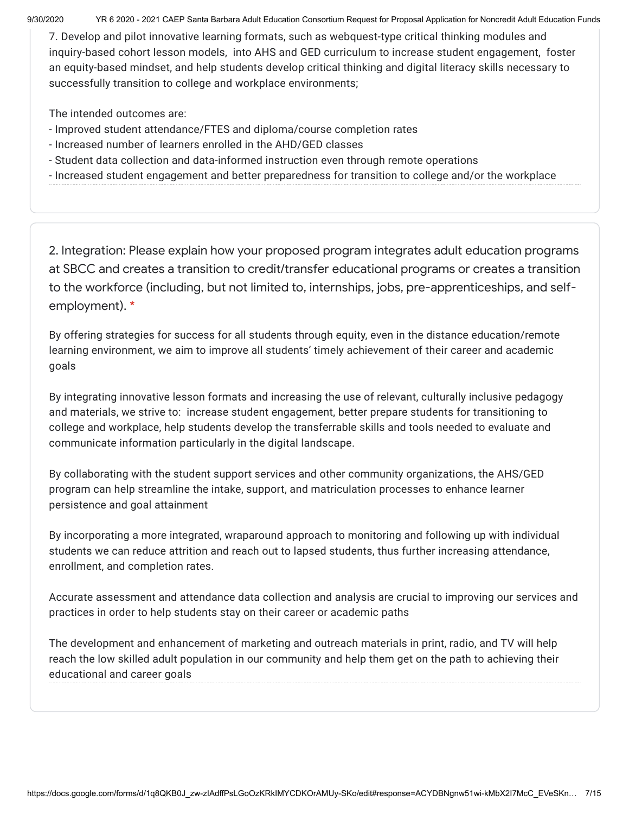9/30/2020 YR 6 2020 - 2021 CAEP Santa Barbara Adult Education Consortium Request for Proposal Application for Noncredit Adult Education Funds

7. Develop and pilot innovative learning formats, such as webquest-type critical thinking modules and inquiry-based cohort lesson models, into AHS and GED curriculum to increase student engagement, foster an equity-based mindset, and help students develop critical thinking and digital literacy skills necessary to successfully transition to college and workplace environments;

The intended outcomes are:

- Improved student attendance/FTES and diploma/course completion rates
- Increased number of learners enrolled in the AHD/GED classes
- Student data collection and data-informed instruction even through remote operations
- Increased student engagement and better preparedness for transition to college and/or the workplace

2. Integration: Please explain how your proposed program integrates adult education programs at SBCC and creates a transition to credit/transfer educational programs or creates a transition to the workforce (including, but not limited to, internships, jobs, pre-apprenticeships, and selfemployment). \*

By offering strategies for success for all students through equity, even in the distance education/remote learning environment, we aim to improve all students' timely achievement of their career and academic goals

By integrating innovative lesson formats and increasing the use of relevant, culturally inclusive pedagogy and materials, we strive to: increase student engagement, better prepare students for transitioning to college and workplace, help students develop the transferrable skills and tools needed to evaluate and communicate information particularly in the digital landscape.

By collaborating with the student support services and other community organizations, the AHS/GED program can help streamline the intake, support, and matriculation processes to enhance learner persistence and goal attainment

By incorporating a more integrated, wraparound approach to monitoring and following up with individual students we can reduce attrition and reach out to lapsed students, thus further increasing attendance, enrollment, and completion rates.

Accurate assessment and attendance data collection and analysis are crucial to improving our services and practices in order to help students stay on their career or academic paths

The development and enhancement of marketing and outreach materials in print, radio, and TV will help reach the low skilled adult population in our community and help them get on the path to achieving their educational and career goals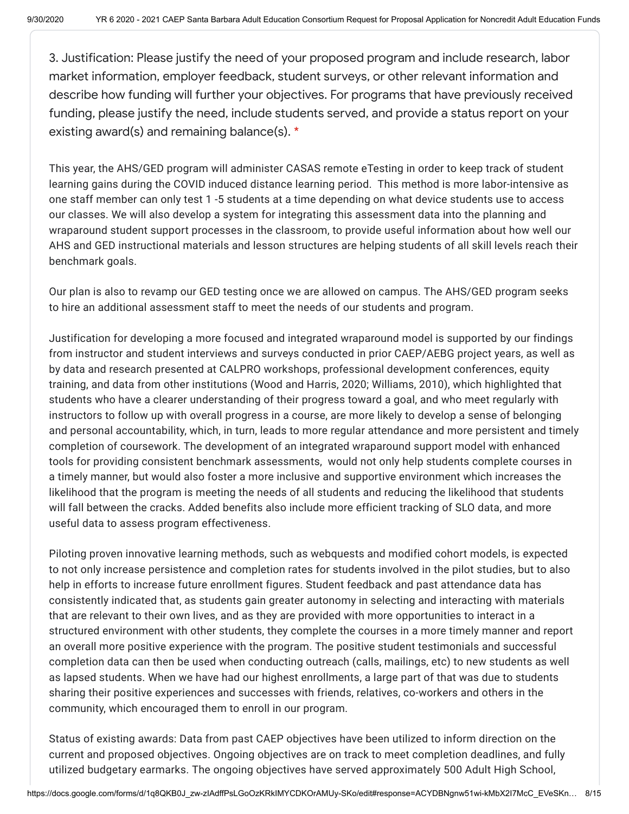3. Justification: Please justify the need of your proposed program and include research, labor market information, employer feedback, student surveys, or other relevant information and describe how funding will further your objectives. For programs that have previously received funding, please justify the need, include students served, and provide a status report on your existing award(s) and remaining balance(s). \*

This year, the AHS/GED program will administer CASAS remote eTesting in order to keep track of student learning gains during the COVID induced distance learning period. This method is more labor-intensive as one staff member can only test 1 -5 students at a time depending on what device students use to access our classes. We will also develop a system for integrating this assessment data into the planning and wraparound student support processes in the classroom, to provide useful information about how well our AHS and GED instructional materials and lesson structures are helping students of all skill levels reach their benchmark goals.

Our plan is also to revamp our GED testing once we are allowed on campus. The AHS/GED program seeks to hire an additional assessment staff to meet the needs of our students and program.

Justification for developing a more focused and integrated wraparound model is supported by our findings from instructor and student interviews and surveys conducted in prior CAEP/AEBG project years, as well as by data and research presented at CALPRO workshops, professional development conferences, equity training, and data from other institutions (Wood and Harris, 2020; Williams, 2010), which highlighted that students who have a clearer understanding of their progress toward a goal, and who meet regularly with instructors to follow up with overall progress in a course, are more likely to develop a sense of belonging and personal accountability, which, in turn, leads to more regular attendance and more persistent and timely completion of coursework. The development of an integrated wraparound support model with enhanced tools for providing consistent benchmark assessments, would not only help students complete courses in a timely manner, but would also foster a more inclusive and supportive environment which increases the likelihood that the program is meeting the needs of all students and reducing the likelihood that students will fall between the cracks. Added benefits also include more efficient tracking of SLO data, and more useful data to assess program effectiveness.

Piloting proven innovative learning methods, such as webquests and modified cohort models, is expected to not only increase persistence and completion rates for students involved in the pilot studies, but to also help in efforts to increase future enrollment figures. Student feedback and past attendance data has consistently indicated that, as students gain greater autonomy in selecting and interacting with materials that are relevant to their own lives, and as they are provided with more opportunities to interact in a structured environment with other students, they complete the courses in a more timely manner and report an overall more positive experience with the program. The positive student testimonials and successful completion data can then be used when conducting outreach (calls, mailings, etc) to new students as well as lapsed students. When we have had our highest enrollments, a large part of that was due to students sharing their positive experiences and successes with friends, relatives, co-workers and others in the community, which encouraged them to enroll in our program.

Status of existing awards: Data from past CAEP objectives have been utilized to inform direction on the current and proposed objectives. Ongoing objectives are on track to meet completion deadlines, and fully utilized budgetary earmarks. The ongoing objectives have served approximately 500 Adult High School,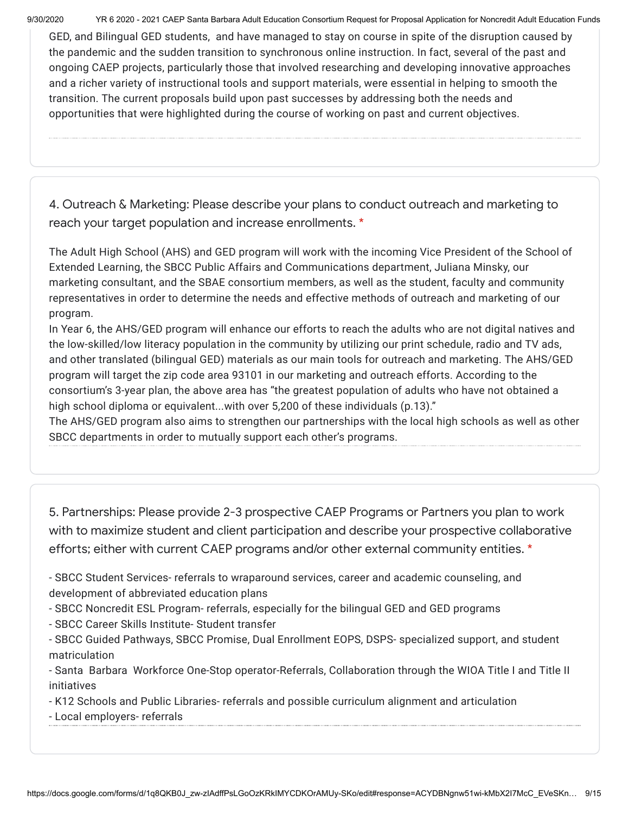9/30/2020 YR 6 2020 - 2021 CAEP Santa Barbara Adult Education Consortium Request for Proposal Application for Noncredit Adult Education Funds

GED, and Bilingual GED students, and have managed to stay on course in spite of the disruption caused by the pandemic and the sudden transition to synchronous online instruction. In fact, several of the past and ongoing CAEP projects, particularly those that involved researching and developing innovative approaches and a richer variety of instructional tools and support materials, were essential in helping to smooth the transition. The current proposals build upon past successes by addressing both the needs and opportunities that were highlighted during the course of working on past and current objectives.

4. Outreach & Marketing: Please describe your plans to conduct outreach and marketing to reach your target population and increase enrollments. \*

The Adult High School (AHS) and GED program will work with the incoming Vice President of the School of Extended Learning, the SBCC Public Affairs and Communications department, Juliana Minsky, our marketing consultant, and the SBAE consortium members, as well as the student, faculty and community representatives in order to determine the needs and effective methods of outreach and marketing of our program.

In Year 6, the AHS/GED program will enhance our efforts to reach the adults who are not digital natives and the low-skilled/low literacy population in the community by utilizing our print schedule, radio and TV ads, and other translated (bilingual GED) materials as our main tools for outreach and marketing. The AHS/GED program will target the zip code area 93101 in our marketing and outreach efforts. According to the consortium's 3-year plan, the above area has "the greatest population of adults who have not obtained a high school diploma or equivalent...with over 5,200 of these individuals (p.13)."

The AHS/GED program also aims to strengthen our partnerships with the local high schools as well as other SBCC departments in order to mutually support each other's programs.

5. Partnerships: Please provide 2-3 prospective CAEP Programs or Partners you plan to work with to maximize student and client participation and describe your prospective collaborative efforts; either with current CAEP programs and/or other external community entities. \*

- SBCC Student Services- referrals to wraparound services, career and academic counseling, and development of abbreviated education plans

- SBCC Noncredit ESL Program- referrals, especially for the bilingual GED and GED programs

- SBCC Career Skills Institute- Student transfer

- SBCC Guided Pathways, SBCC Promise, Dual Enrollment EOPS, DSPS- specialized support, and student matriculation

- Santa Barbara Workforce One-Stop operator-Referrals, Collaboration through the WIOA Title I and Title II initiatives

- K12 Schools and Public Libraries- referrals and possible curriculum alignment and articulation

- Local employers- referrals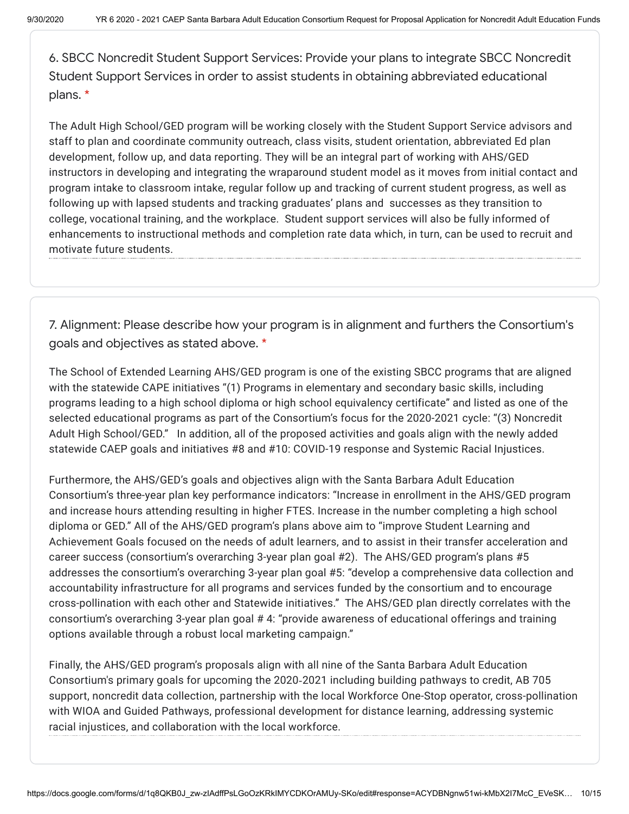6. SBCC Noncredit Student Support Services: Provide your plans to integrate SBCC Noncredit Student Support Services in order to assist students in obtaining abbreviated educational plans. \*

The Adult High School/GED program will be working closely with the Student Support Service advisors and staff to plan and coordinate community outreach, class visits, student orientation, abbreviated Ed plan development, follow up, and data reporting. They will be an integral part of working with AHS/GED instructors in developing and integrating the wraparound student model as it moves from initial contact and program intake to classroom intake, regular follow up and tracking of current student progress, as well as following up with lapsed students and tracking graduates' plans and successes as they transition to college, vocational training, and the workplace. Student support services will also be fully informed of enhancements to instructional methods and completion rate data which, in turn, can be used to recruit and motivate future students.

7. Alignment: Please describe how your program is in alignment and furthers the Consortium's goals and objectives as stated above. \*

The School of Extended Learning AHS/GED program is one of the existing SBCC programs that are aligned with the statewide CAPE initiatives "(1) Programs in elementary and secondary basic skills, including programs leading to a high school diploma or high school equivalency certificate" and listed as one of the selected educational programs as part of the Consortium's focus for the 2020-2021 cycle: "(3) Noncredit Adult High School/GED." In addition, all of the proposed activities and goals align with the newly added statewide CAEP goals and initiatives #8 and #10: COVID-19 response and Systemic Racial Injustices.

Furthermore, the AHS/GED's goals and objectives align with the Santa Barbara Adult Education Consortium's three-year plan key performance indicators: "Increase in enrollment in the AHS/GED program and increase hours attending resulting in higher FTES. Increase in the number completing a high school diploma or GED." All of the AHS/GED program's plans above aim to "improve Student Learning and Achievement Goals focused on the needs of adult learners, and to assist in their transfer acceleration and career success (consortium's overarching 3-year plan goal #2). The AHS/GED program's plans #5 addresses the consortium's overarching 3-year plan goal #5: "develop a comprehensive data collection and accountability infrastructure for all programs and services funded by the consortium and to encourage cross-pollination with each other and Statewide initiatives." The AHS/GED plan directly correlates with the consortium's overarching 3-year plan goal # 4: "provide awareness of educational offerings and training options available through a robust local marketing campaign."

Finally, the AHS/GED program's proposals align with all nine of the Santa Barbara Adult Education Consortium's primary goals for upcoming the 2020‐2021 including building pathways to credit, AB 705 support, noncredit data collection, partnership with the local Workforce One-Stop operator, cross-pollination with WIOA and Guided Pathways, professional development for distance learning, addressing systemic racial injustices, and collaboration with the local workforce.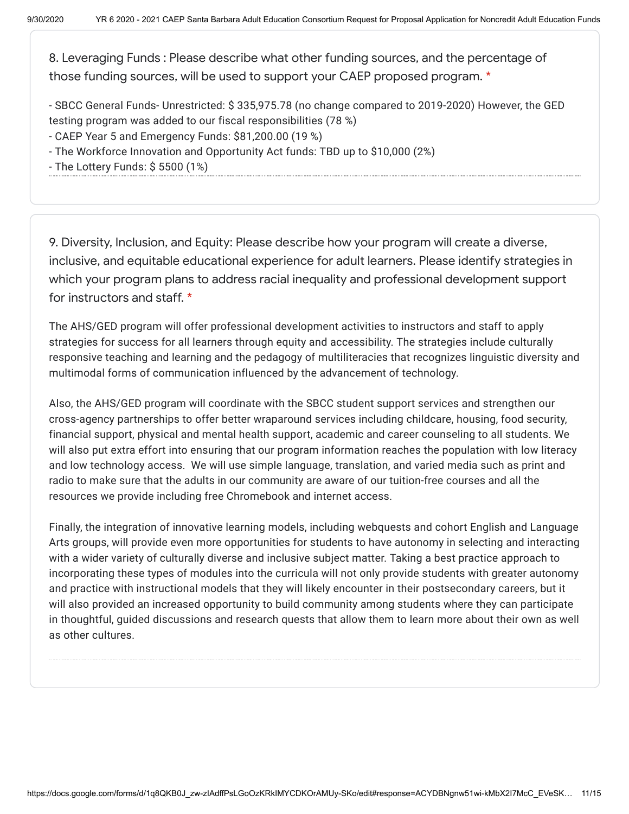8. Leveraging Funds : Please describe what other funding sources, and the percentage of those funding sources, will be used to support your CAEP proposed program. \*

- SBCC General Funds- Unrestricted: \$ 335,975.78 (no change compared to 2019-2020) However, the GED testing program was added to our fiscal responsibilities (78 %)

- CAEP Year 5 and Emergency Funds: \$81,200.00 (19 %)

- The Workforce Innovation and Opportunity Act funds: TBD up to \$10,000 (2%)
- The Lottery Funds: \$ 5500 (1%)

9. Diversity, Inclusion, and Equity: Please describe how your program will create a diverse, inclusive, and equitable educational experience for adult learners. Please identify strategies in which your program plans to address racial inequality and professional development support for instructors and staff. \*

The AHS/GED program will offer professional development activities to instructors and staff to apply strategies for success for all learners through equity and accessibility. The strategies include culturally responsive teaching and learning and the pedagogy of multiliteracies that recognizes linguistic diversity and multimodal forms of communication influenced by the advancement of technology.

Also, the AHS/GED program will coordinate with the SBCC student support services and strengthen our cross-agency partnerships to offer better wraparound services including childcare, housing, food security, financial support, physical and mental health support, academic and career counseling to all students. We will also put extra effort into ensuring that our program information reaches the population with low literacy and low technology access. We will use simple language, translation, and varied media such as print and radio to make sure that the adults in our community are aware of our tuition-free courses and all the resources we provide including free Chromebook and internet access.

Finally, the integration of innovative learning models, including webquests and cohort English and Language Arts groups, will provide even more opportunities for students to have autonomy in selecting and interacting with a wider variety of culturally diverse and inclusive subject matter. Taking a best practice approach to incorporating these types of modules into the curricula will not only provide students with greater autonomy and practice with instructional models that they will likely encounter in their postsecondary careers, but it will also provided an increased opportunity to build community among students where they can participate in thoughtful, guided discussions and research quests that allow them to learn more about their own as well as other cultures.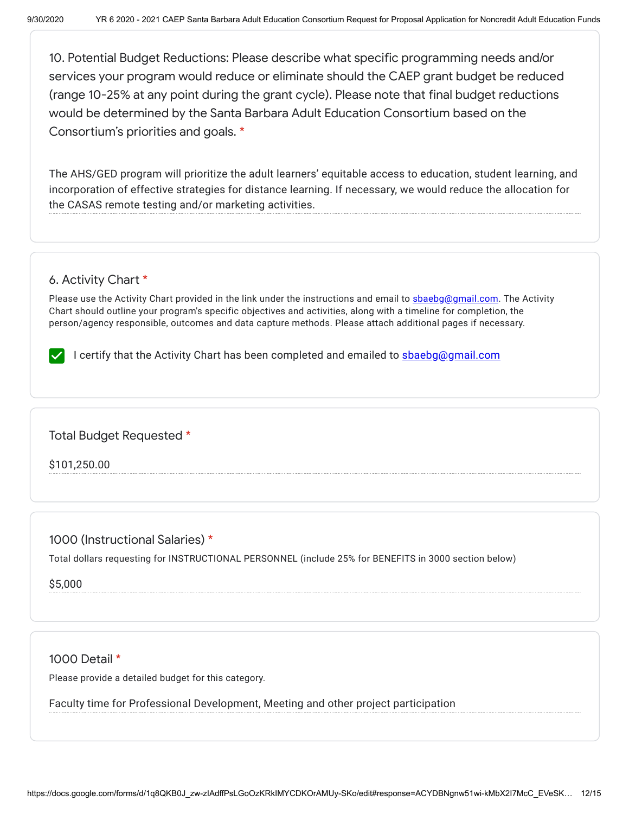10. Potential Budget Reductions: Please describe what specific programming needs and/or services your program would reduce or eliminate should the CAEP grant budget be reduced (range 10-25% at any point during the grant cycle). Please note that final budget reductions would be determined by the Santa Barbara Adult Education Consortium based on the Consortium's priorities and goals. \*

The AHS/GED program will prioritize the adult learners' equitable access to education, student learning, and incorporation of effective strategies for distance learning. If necessary, we would reduce the allocation for the CASAS remote testing and/or marketing activities.

## 6. Activity Chart \*

Please use the Activity Chart provided in the link under the instructions and email to [sbaebg@gmail.com.](mailto:sbaebg@gmail.com) The Activity Chart should outline your program's specific objectives and activities, along with a timeline for completion, the person/agency responsible, outcomes and data capture methods. Please attach additional pages if necessary.

I certify that the Activity Chart has been completed and emailed to shaebg@gmail.com

Total Budget Requested \*

\$101,250.00

1000 (Instructional Salaries) \*

Total dollars requesting for INSTRUCTIONAL PERSONNEL (include 25% for BENEFITS in 3000 section below)

\$5,000

1000 Detail \*

Please provide a detailed budget for this category.

Faculty time for Professional Development, Meeting and other project participation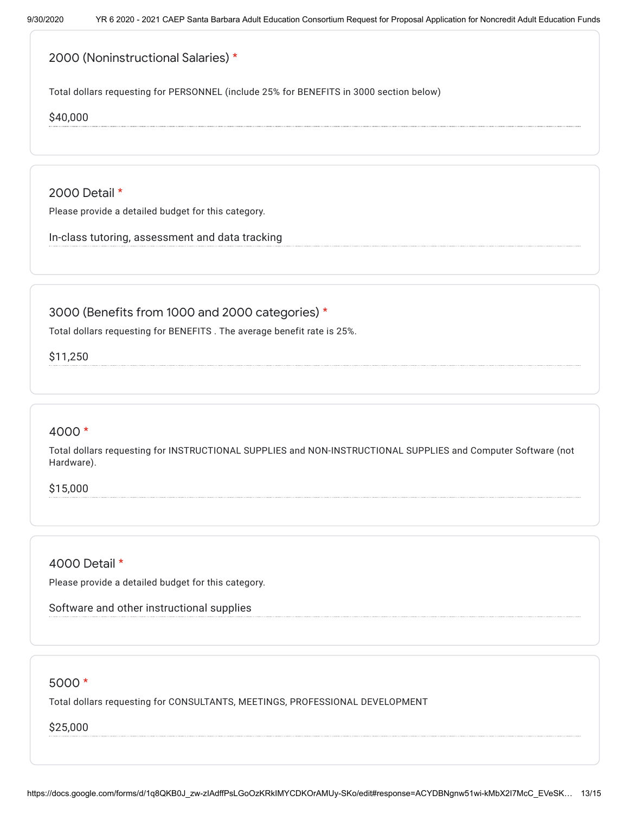# 2000 (Noninstructional Salaries) \*

Total dollars requesting for PERSONNEL (include 25% for BENEFITS in 3000 section below)

\$40,000

2000 Detail \*

Please provide a detailed budget for this category.

In-class tutoring, assessment and data tracking

## 3000 (Benefits from 1000 and 2000 categories) \*

Total dollars requesting for BENEFITS . The average benefit rate is 25%.

\$11,250

#### 4000 \*

Total dollars requesting for INSTRUCTIONAL SUPPLIES and NON-INSTRUCTIONAL SUPPLIES and Computer Software (not Hardware).

\$15,000

## 4000 Detail \*

Please provide a detailed budget for this category.

Software and other instructional supplies

#### 5000 \*

Total dollars requesting for CONSULTANTS, MEETINGS, PROFESSIONAL DEVELOPMENT

#### \$25,000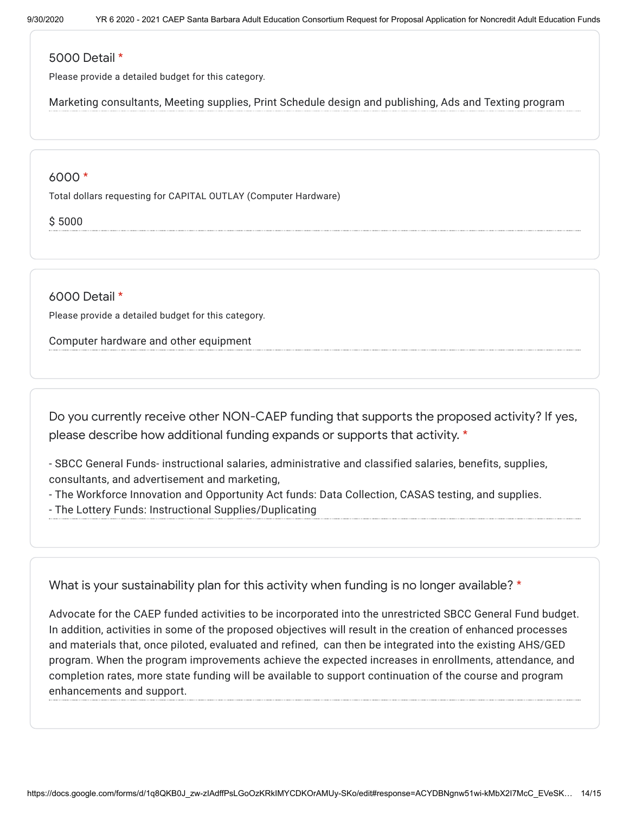## 5000 Detail \*

Please provide a detailed budget for this category.

Marketing consultants, Meeting supplies, Print Schedule design and publishing, Ads and Texting program

#### 6000 \*

Total dollars requesting for CAPITAL OUTLAY (Computer Hardware)

\$ 5000

6000 Detail \*

Please provide a detailed budget for this category.

Computer hardware and other equipment

Do you currently receive other NON-CAEP funding that supports the proposed activity? If yes, please describe how additional funding expands or supports that activity. \*

- SBCC General Funds- instructional salaries, administrative and classified salaries, benefits, supplies, consultants, and advertisement and marketing,

- The Workforce Innovation and Opportunity Act funds: Data Collection, CASAS testing, and supplies.

- The Lottery Funds: Instructional Supplies/Duplicating

What is your sustainability plan for this activity when funding is no longer available? \*

Advocate for the CAEP funded activities to be incorporated into the unrestricted SBCC General Fund budget. In addition, activities in some of the proposed objectives will result in the creation of enhanced processes and materials that, once piloted, evaluated and refined, can then be integrated into the existing AHS/GED program. When the program improvements achieve the expected increases in enrollments, attendance, and completion rates, more state funding will be available to support continuation of the course and program enhancements and support.